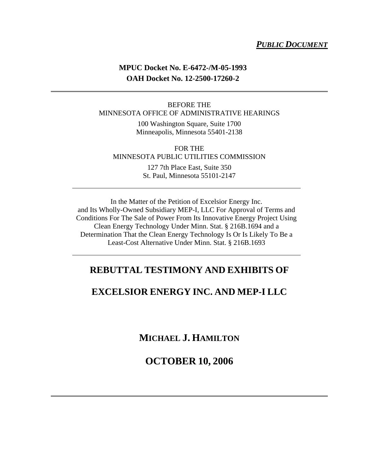## *PUBLIC DOCUMENT*

## **MPUC Docket No. E-6472-/M-05-1993 OAH Docket No. 12-2500-17260-2**

## BEFORE THE MINNESOTA OFFICE OF ADMINISTRATIVE HEARINGS

100 Washington Square, Suite 1700 Minneapolis, Minnesota 55401-2138

FOR THE MINNESOTA PUBLIC UTILITIES COMMISSION

> 127 7th Place East, Suite 350 St. Paul, Minnesota 55101-2147

In the Matter of the Petition of Excelsior Energy Inc. and Its Wholly-Owned Subsidiary MEP-I, LLC For Approval of Terms and Conditions For The Sale of Power From Its Innovative Energy Project Using Clean Energy Technology Under Minn. Stat. § 216B.1694 and a Determination That the Clean Energy Technology Is Or Is Likely To Be a Least-Cost Alternative Under Minn. Stat. § 216B.1693

## **REBUTTAL TESTIMONY AND EXHIBITS OF**

## **EXCELSIOR ENERGY INC. AND MEP-I LLC**

**MICHAEL J. HAMILTON**

**OCTOBER 10, 2006**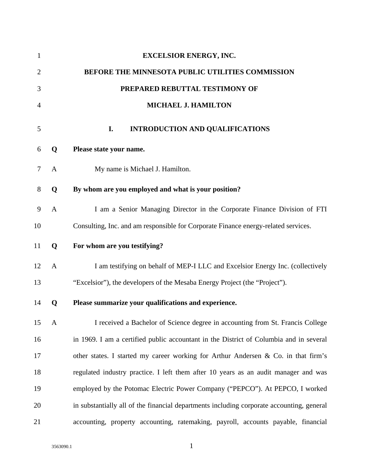| $\mathbf{1}$   |              | <b>EXCELSIOR ENERGY, INC.</b>                                                             |
|----------------|--------------|-------------------------------------------------------------------------------------------|
| $\overline{2}$ |              | BEFORE THE MINNESOTA PUBLIC UTILITIES COMMISSION                                          |
| 3              |              | PREPARED REBUTTAL TESTIMONY OF                                                            |
| 4              |              | MICHAEL J. HAMILTON                                                                       |
| 5              |              | <b>INTRODUCTION AND QUALIFICATIONS</b><br>I.                                              |
| 6              | Q            | Please state your name.                                                                   |
| 7              | A            | My name is Michael J. Hamilton.                                                           |
| $8\,$          | Q            | By whom are you employed and what is your position?                                       |
| 9              | $\mathbf{A}$ | I am a Senior Managing Director in the Corporate Finance Division of FTI                  |
| 10             |              | Consulting, Inc. and am responsible for Corporate Finance energy-related services.        |
| 11             | Q            | For whom are you testifying?                                                              |
| 12             | A            | I am testifying on behalf of MEP-I LLC and Excelsior Energy Inc. (collectively            |
| 13             |              | "Excelsior"), the developers of the Mesaba Energy Project (the "Project").                |
| 14             | Q            | Please summarize your qualifications and experience.                                      |
| 15             | $\mathbf{A}$ | I received a Bachelor of Science degree in accounting from St. Francis College            |
| 16             |              | in 1969. I am a certified public accountant in the District of Columbia and in several    |
| 17             |              | other states. I started my career working for Arthur Andersen & Co. in that firm's        |
| 18             |              | regulated industry practice. I left them after 10 years as an audit manager and was       |
| 19             |              | employed by the Potomac Electric Power Company ("PEPCO"). At PEPCO, I worked              |
| 20             |              | in substantially all of the financial departments including corporate accounting, general |
| 21             |              | accounting, property accounting, ratemaking, payroll, accounts payable, financial         |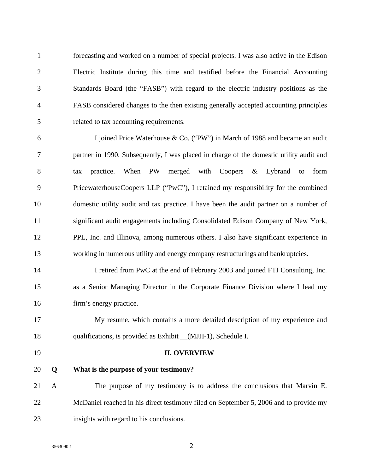1 forecasting and worked on a number of special projects. I was also active in the Edison 2 Electric Institute during this time and testified before the Financial Accounting 3 Standards Board (the "FASB") with regard to the electric industry positions as the 4 FASB considered changes to the then existing generally accepted accounting principles 5 related to tax accounting requirements.

6 I joined Price Waterhouse & Co. ("PW") in March of 1988 and became an audit 7 partner in 1990. Subsequently, I was placed in charge of the domestic utility audit and 8 tax practice. When PW merged with Coopers & Lybrand to form 9 PricewaterhouseCoopers LLP ("PwC"), I retained my responsibility for the combined 10 domestic utility audit and tax practice. I have been the audit partner on a number of 11 significant audit engagements including Consolidated Edison Company of New York, 12 PPL, Inc. and Illinova, among numerous others. I also have significant experience in 13 working in numerous utility and energy company restructurings and bankruptcies.

14 I retired from PwC at the end of February 2003 and joined FTI Consulting, Inc. 15 as a Senior Managing Director in the Corporate Finance Division where I lead my 16 firm's energy practice.

17 My resume, which contains a more detailed description of my experience and 18 qualifications, is provided as Exhibit \_\_(MJH-1), Schedule I.

### 19 **II. OVERVIEW**

20 **Q What is the purpose of your testimony?** 

21 A The purpose of my testimony is to address the conclusions that Marvin E. 22 McDaniel reached in his direct testimony filed on September 5, 2006 and to provide my 23 insights with regard to his conclusions.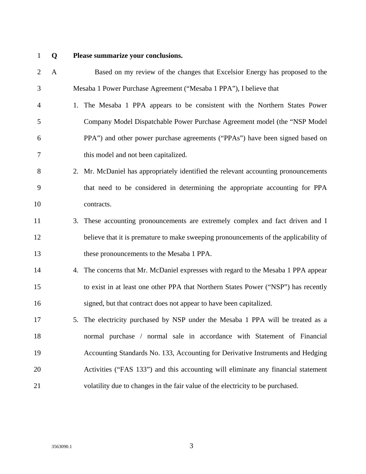## 1 **Q Please summarize your conclusions.**

| $\overline{2}$ | $\mathbf{A}$ |    | Based on my review of the changes that Excelsior Energy has proposed to the          |
|----------------|--------------|----|--------------------------------------------------------------------------------------|
| 3              |              |    | Mesaba 1 Power Purchase Agreement ("Mesaba 1 PPA"), I believe that                   |
| $\overline{4}$ |              |    | 1. The Mesaba 1 PPA appears to be consistent with the Northern States Power          |
| 5              |              |    | Company Model Dispatchable Power Purchase Agreement model (the "NSP Model            |
| 6              |              |    | PPA") and other power purchase agreements ("PPAs") have been signed based on         |
| 7              |              |    | this model and not been capitalized.                                                 |
| $8\,$          |              |    | 2. Mr. McDaniel has appropriately identified the relevant accounting pronouncements  |
| 9              |              |    | that need to be considered in determining the appropriate accounting for PPA         |
| 10             |              |    | contracts.                                                                           |
| 11             |              |    | 3. These accounting pronouncements are extremely complex and fact driven and I       |
| 12             |              |    | believe that it is premature to make sweeping pronouncements of the applicability of |
| 13             |              |    | these pronouncements to the Mesaba 1 PPA.                                            |
| 14             |              |    | 4. The concerns that Mr. McDaniel expresses with regard to the Mesaba 1 PPA appear   |
| 15             |              |    | to exist in at least one other PPA that Northern States Power ("NSP") has recently   |
| 16             |              |    | signed, but that contract does not appear to have been capitalized.                  |
| 17             |              | 5. | The electricity purchased by NSP under the Mesaba 1 PPA will be treated as a         |
| 18             |              |    | normal purchase / normal sale in accordance with Statement of Financial              |
| 19             |              |    | Accounting Standards No. 133, Accounting for Derivative Instruments and Hedging      |
| 20             |              |    | Activities ("FAS 133") and this accounting will eliminate any financial statement    |
| 21             |              |    | volatility due to changes in the fair value of the electricity to be purchased.      |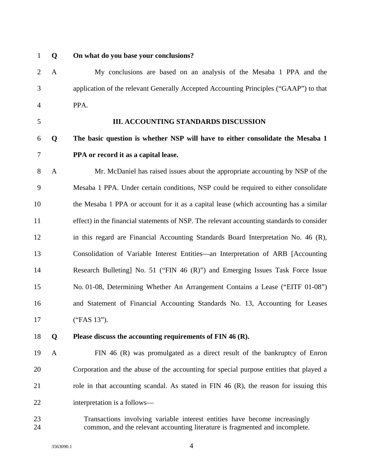## 1 **Q On what do you base your conclusions?**

2 A My conclusions are based on an analysis of the Mesaba 1 PPA and the 3 application of the relevant Generally Accepted Accounting Principles ("GAAP") to that 4 PPA.

## 5 **III. ACCOUNTING STANDARDS DISCUSSION**

## 6 **Q The basic question is whether NSP will have to either consolidate the Mesaba 1**  7 **PPA or record it as a capital lease.**

8 A Mr. McDaniel has raised issues about the appropriate accounting by NSP of the 9 Mesaba 1 PPA. Under certain conditions, NSP could be required to either consolidate 10 the Mesaba 1 PPA or account for it as a capital lease (which accounting has a similar 11 effect) in the financial statements of NSP. The relevant accounting standards to consider 12 in this regard are Financial Accounting Standards Board Interpretation No. 46 (R), 13 Consolidation of Variable Interest Entities—an Interpretation of ARB [Accounting 14 Research Bulleting] No. 51 ("FIN 46 (R)") and Emerging Issues Task Force Issue 15 No. 01-08, Determining Whether An Arrangement Contains a Lease ("EITF 01-08") 16 and Statement of Financial Accounting Standards No. 13, Accounting for Leases 17 ("FAS 13").

## 18 **Q Please discuss the accounting requirements of FIN 46 (R).**

- 19 A FIN 46 (R) was promulgated as a direct result of the bankruptcy of Enron 20 Corporation and the abuse of the accounting for special purpose entities that played a 21 role in that accounting scandal. As stated in FIN 46 (R), the reason for issuing this 22 interpretation is a follows—
- 23 Transactions involving variable interest entities have become increasingly 24 common, and the relevant accounting literature is fragmented and incomplete.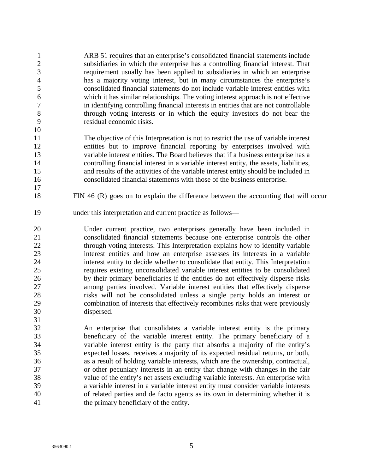1 ARB 51 requires that an enterprise's consolidated financial statements include 2 subsidiaries in which the enterprise has a controlling financial interest. That 3 requirement usually has been applied to subsidiaries in which an enterprise 4 has a majority voting interest, but in many circumstances the enterprise's 5 consolidated financial statements do not include variable interest entities with 6 which it has similar relationships. The voting interest approach is not effective 7 in identifying controlling financial interests in entities that are not controllable 8 through voting interests or in which the equity investors do not bear the 9 residual economic risks. 10

11 The objective of this Interpretation is not to restrict the use of variable interest 12 entities but to improve financial reporting by enterprises involved with 13 variable interest entities. The Board believes that if a business enterprise has a 14 controlling financial interest in a variable interest entity, the assets, liabilities, 15 and results of the activities of the variable interest entity should be included in 16 consolidated financial statements with those of the business enterprise.

- 18 FIN 46 (R) goes on to explain the difference between the accounting that will occur
- 19 under this interpretation and current practice as follows—

20 Under current practice, two enterprises generally have been included in 21 consolidated financial statements because one enterprise controls the other 22 through voting interests. This Interpretation explains how to identify variable 23 interest entities and how an enterprise assesses its interests in a variable 24 interest entity to decide whether to consolidate that entity. This Interpretation 25 requires existing unconsolidated variable interest entities to be consolidated 26 by their primary beneficiaries if the entities do not effectively disperse risks 27 among parties involved. Variable interest entities that effectively disperse 28 risks will not be consolidated unless a single party holds an interest or 29 combination of interests that effectively recombines risks that were previously 30 dispersed.

32 An enterprise that consolidates a variable interest entity is the primary 33 beneficiary of the variable interest entity. The primary beneficiary of a 34 variable interest entity is the party that absorbs a majority of the entity's 35 expected losses, receives a majority of its expected residual returns, or both, 36 as a result of holding variable interests, which are the ownership, contractual, 37 or other pecuniary interests in an entity that change with changes in the fair 38 value of the entity's net assets excluding variable interests. An enterprise with 39 a variable interest in a variable interest entity must consider variable interests 40 of related parties and de facto agents as its own in determining whether it is 41 the primary beneficiary of the entity.

17

31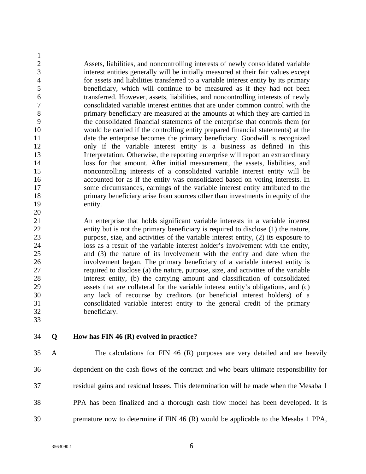1 2 Assets, liabilities, and noncontrolling interests of newly consolidated variable 3 interest entities generally will be initially measured at their fair values except 4 for assets and liabilities transferred to a variable interest entity by its primary 5 beneficiary, which will continue to be measured as if they had not been 6 transferred. However, assets, liabilities, and noncontrolling interests of newly 7 consolidated variable interest entities that are under common control with the 8 primary beneficiary are measured at the amounts at which they are carried in 9 the consolidated financial statements of the enterprise that controls them (or 10 would be carried if the controlling entity prepared financial statements) at the 11 date the enterprise becomes the primary beneficiary. Goodwill is recognized 12 only if the variable interest entity is a business as defined in this 13 Interpretation. Otherwise, the reporting enterprise will report an extraordinary 14 loss for that amount. After initial measurement, the assets, liabilities, and 15 noncontrolling interests of a consolidated variable interest entity will be 16 accounted for as if the entity was consolidated based on voting interests. In 17 some circumstances, earnings of the variable interest entity attributed to the 18 primary beneficiary arise from sources other than investments in equity of the 19 entity. 20

21 An enterprise that holds significant variable interests in a variable interest 22 entity but is not the primary beneficiary is required to disclose (1) the nature, 23 purpose, size, and activities of the variable interest entity, (2) its exposure to 24 loss as a result of the variable interest holder's involvement with the entity, 25 and (3) the nature of its involvement with the entity and date when the 26 involvement began. The primary beneficiary of a variable interest entity is 27 required to disclose (a) the nature, purpose, size, and activities of the variable 28 interest entity, (b) the carrying amount and classification of consolidated 29 assets that are collateral for the variable interest entity's obligations, and (c) 30 any lack of recourse by creditors (or beneficial interest holders) of a 31 consolidated variable interest entity to the general credit of the primary 32 beneficiary.

33

## 34 **Q How has FIN 46 (R) evolved in practice?**

35 A The calculations for FIN 46 (R) purposes are very detailed and are heavily 36 dependent on the cash flows of the contract and who bears ultimate responsibility for 37 residual gains and residual losses. This determination will be made when the Mesaba 1 38 PPA has been finalized and a thorough cash flow model has been developed. It is 39 premature now to determine if FIN 46 (R) would be applicable to the Mesaba 1 PPA,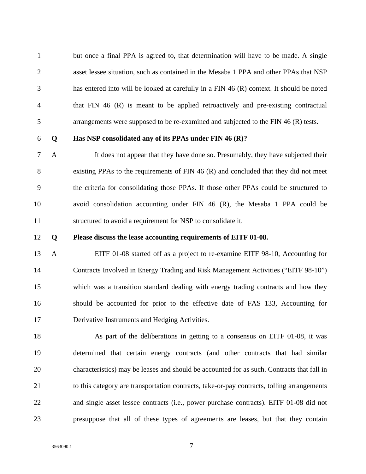1 but once a final PPA is agreed to, that determination will have to be made. A single 2 asset lessee situation, such as contained in the Mesaba 1 PPA and other PPAs that NSP 3 has entered into will be looked at carefully in a FIN 46 (R) context. It should be noted 4 that FIN 46 (R) is meant to be applied retroactively and pre-existing contractual 5 arrangements were supposed to be re-examined and subjected to the FIN 46 (R) tests.

## 6 **Q Has NSP consolidated any of its PPAs under FIN 46 (R)?**

7 A It does not appear that they have done so. Presumably, they have subjected their 8 existing PPAs to the requirements of FIN 46 (R) and concluded that they did not meet 9 the criteria for consolidating those PPAs. If those other PPAs could be structured to 10 avoid consolidation accounting under FIN 46 (R), the Mesaba 1 PPA could be 11 structured to avoid a requirement for NSP to consolidate it.

### 12 **Q Please discuss the lease accounting requirements of EITF 01-08.**

13 A EITF 01-08 started off as a project to re-examine EITF 98-10, Accounting for 14 Contracts Involved in Energy Trading and Risk Management Activities ("EITF 98-10") 15 which was a transition standard dealing with energy trading contracts and how they 16 should be accounted for prior to the effective date of FAS 133, Accounting for 17 Derivative Instruments and Hedging Activities.

18 As part of the deliberations in getting to a consensus on EITF 01-08, it was 19 determined that certain energy contracts (and other contracts that had similar 20 characteristics) may be leases and should be accounted for as such. Contracts that fall in 21 to this category are transportation contracts, take-or-pay contracts, tolling arrangements 22 and single asset lessee contracts (i.e., power purchase contracts). EITF 01-08 did not 23 presuppose that all of these types of agreements are leases, but that they contain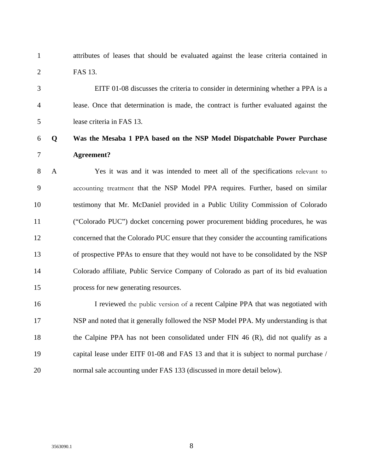1 attributes of leases that should be evaluated against the lease criteria contained in 2 FAS 13.

3 EITF 01-08 discusses the criteria to consider in determining whether a PPA is a 4 lease. Once that determination is made, the contract is further evaluated against the 5 lease criteria in FAS 13.

## 6 **Q Was the Mesaba 1 PPA based on the NSP Model Dispatchable Power Purchase**  7 **Agreement?**

8 A Yes it was and it was intended to meet all of the specifications relevant to 9 accounting treatment that the NSP Model PPA requires. Further, based on similar 10 testimony that Mr. McDaniel provided in a Public Utility Commission of Colorado 11 ("Colorado PUC") docket concerning power procurement bidding procedures, he was 12 concerned that the Colorado PUC ensure that they consider the accounting ramifications 13 of prospective PPAs to ensure that they would not have to be consolidated by the NSP 14 Colorado affiliate, Public Service Company of Colorado as part of its bid evaluation 15 process for new generating resources.

16 I reviewed the public version of a recent Calpine PPA that was negotiated with 17 NSP and noted that it generally followed the NSP Model PPA. My understanding is that 18 the Calpine PPA has not been consolidated under FIN 46 (R), did not qualify as a 19 capital lease under EITF 01-08 and FAS 13 and that it is subject to normal purchase / 20 normal sale accounting under FAS 133 (discussed in more detail below).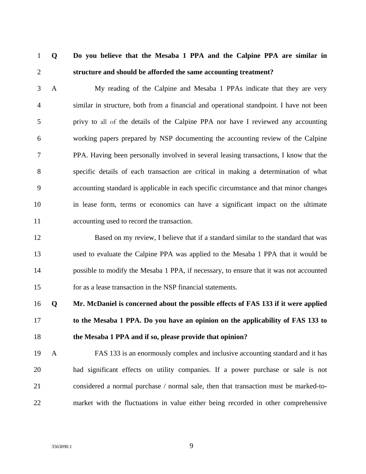## 1 **Q Do you believe that the Mesaba 1 PPA and the Calpine PPA are similar in**  2 **structure and should be afforded the same accounting treatment?**

3 A My reading of the Calpine and Mesaba 1 PPAs indicate that they are very 4 similar in structure, both from a financial and operational standpoint. I have not been 5 privy to all of the details of the Calpine PPA nor have I reviewed any accounting 6 working papers prepared by NSP documenting the accounting review of the Calpine 7 PPA. Having been personally involved in several leasing transactions, I know that the 8 specific details of each transaction are critical in making a determination of what 9 accounting standard is applicable in each specific circumstance and that minor changes 10 in lease form, terms or economics can have a significant impact on the ultimate 11 accounting used to record the transaction.

12 Based on my review, I believe that if a standard similar to the standard that was 13 used to evaluate the Calpine PPA was applied to the Mesaba 1 PPA that it would be 14 possible to modify the Mesaba 1 PPA, if necessary, to ensure that it was not accounted 15 for as a lease transaction in the NSP financial statements.

16 **Q Mr. McDaniel is concerned about the possible effects of FAS 133 if it were applied**  17 **to the Mesaba 1 PPA. Do you have an opinion on the applicability of FAS 133 to**  18 **the Mesaba 1 PPA and if so, please provide that opinion?** 

19 A FAS 133 is an enormously complex and inclusive accounting standard and it has 20 had significant effects on utility companies. If a power purchase or sale is not 21 considered a normal purchase / normal sale, then that transaction must be marked-to-22 market with the fluctuations in value either being recorded in other comprehensive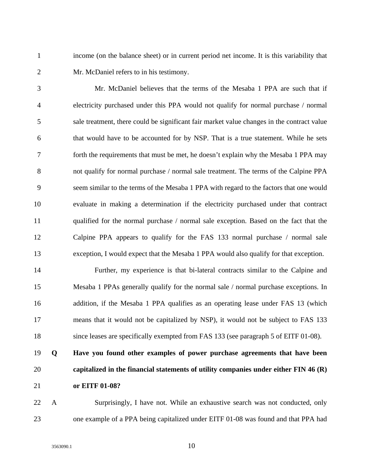1 income (on the balance sheet) or in current period net income. It is this variability that 2 Mr. McDaniel refers to in his testimony.

3 Mr. McDaniel believes that the terms of the Mesaba 1 PPA are such that if 4 electricity purchased under this PPA would not qualify for normal purchase / normal 5 sale treatment, there could be significant fair market value changes in the contract value 6 that would have to be accounted for by NSP. That is a true statement. While he sets 7 forth the requirements that must be met, he doesn't explain why the Mesaba 1 PPA may 8 not qualify for normal purchase / normal sale treatment. The terms of the Calpine PPA 9 seem similar to the terms of the Mesaba 1 PPA with regard to the factors that one would 10 evaluate in making a determination if the electricity purchased under that contract 11 qualified for the normal purchase / normal sale exception. Based on the fact that the 12 Calpine PPA appears to qualify for the FAS 133 normal purchase / normal sale 13 exception, I would expect that the Mesaba 1 PPA would also qualify for that exception.

14 Further, my experience is that bi-lateral contracts similar to the Calpine and 15 Mesaba 1 PPAs generally qualify for the normal sale / normal purchase exceptions. In 16 addition, if the Mesaba 1 PPA qualifies as an operating lease under FAS 13 (which 17 means that it would not be capitalized by NSP), it would not be subject to FAS 133 18 since leases are specifically exempted from FAS 133 (see paragraph 5 of EITF 01-08).

19 **Q Have you found other examples of power purchase agreements that have been**  20 **capitalized in the financial statements of utility companies under either FIN 46 (R)**  21 **or EITF 01-08?** 

22 A Surprisingly, I have not. While an exhaustive search was not conducted, only 23 one example of a PPA being capitalized under EITF 01-08 was found and that PPA had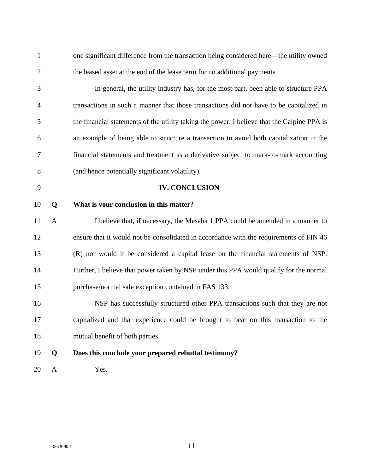| $\mathbf{1}$   |              | one significant difference from the transaction being considered here—the utility owned     |
|----------------|--------------|---------------------------------------------------------------------------------------------|
| $\overline{2}$ |              | the leased asset at the end of the lease term for no additional payments.                   |
| 3              |              | In general, the utility industry has, for the most part, been able to structure PPA         |
| $\overline{4}$ |              | transactions in such a manner that those transactions did not have to be capitalized in     |
| 5              |              | the financial statements of the utility taking the power. I believe that the Calpine PPA is |
| 6              |              | an example of being able to structure a transaction to avoid both capitalization in the     |
| 7              |              | financial statements and treatment as a derivative subject to mark-to-mark accounting       |
| 8              |              | (and hence potentially significant volatility).                                             |
| 9              |              | <b>IV. CONCLUSION</b>                                                                       |
| 10             | Q            | What is your conclusion in this matter?                                                     |
| 11             | $\mathbf{A}$ | I believe that, if necessary, the Mesaba 1 PPA could be amended in a manner to              |
| 12             |              | ensure that it would not be consolidated in accordance with the requirements of FIN 46      |
| 13             |              | (R) nor would it be considered a capital lease on the financial statements of NSP.          |
| 14             |              | Further, I believe that power taken by NSP under this PPA would qualify for the normal      |
| 15             |              | purchase/normal sale exception contained in FAS 133.                                        |
| 16             |              | NSP has successfully structured other PPA transactions such that they are not               |
| 17             |              | capitalized and that experience could be brought to bear on this transaction to the         |
| 18             |              | mutual benefit of both parties.                                                             |
| 19             | Q            | Does this conclude your prepared rebuttal testimony?                                        |
| 20             | $\mathbf{A}$ | Yes.                                                                                        |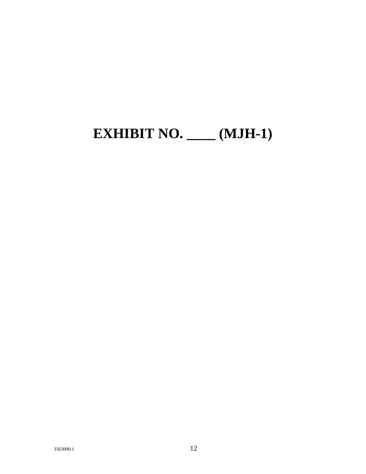# **EXHIBIT NO. \_\_\_\_ (MJH-1)**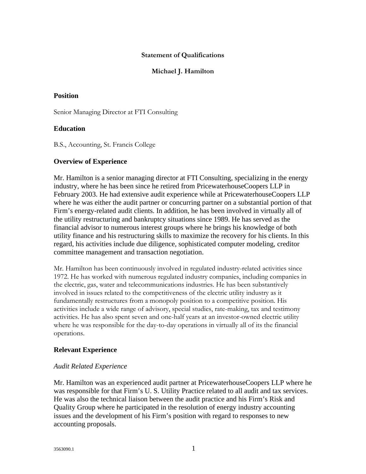## **Statement of Qualifications**

## **Michael J. Hamilton**

## **Position**

Senior Managing Director at FTI Consulting

## **Education**

B.S., Accounting, St. Francis College

## **Overview of Experience**

Mr. Hamilton is a senior managing director at FTI Consulting, specializing in the energy industry, where he has been since he retired from PricewaterhouseCoopers LLP in February 2003. He had extensive audit experience while at PricewaterhouseCoopers LLP where he was either the audit partner or concurring partner on a substantial portion of that Firm's energy-related audit clients. In addition, he has been involved in virtually all of the utility restructuring and bankruptcy situations since 1989. He has served as the financial advisor to numerous interest groups where he brings his knowledge of both utility finance and his restructuring skills to maximize the recovery for his clients. In this regard, his activities include due diligence, sophisticated computer modeling, creditor committee management and transaction negotiation.

Mr. Hamilton has been continuously involved in regulated industry-related activities since 1972. He has worked with numerous regulated industry companies, including companies in the electric, gas, water and telecommunications industries. He has been substantively involved in issues related to the competitiveness of the electric utility industry as it fundamentally restructures from a monopoly position to a competitive position. His activities include a wide range of advisory, special studies, rate-making, tax and testimony activities. He has also spent seven and one-half years at an investor-owned electric utility where he was responsible for the day-to-day operations in virtually all of its the financial operations.

## **Relevant Experience**

### *Audit Related Experience*

Mr. Hamilton was an experienced audit partner at PricewaterhouseCoopers LLP where he was responsible for that Firm's U. S. Utility Practice related to all audit and tax services. He was also the technical liaison between the audit practice and his Firm's Risk and Quality Group where he participated in the resolution of energy industry accounting issues and the development of his Firm's position with regard to responses to new accounting proposals.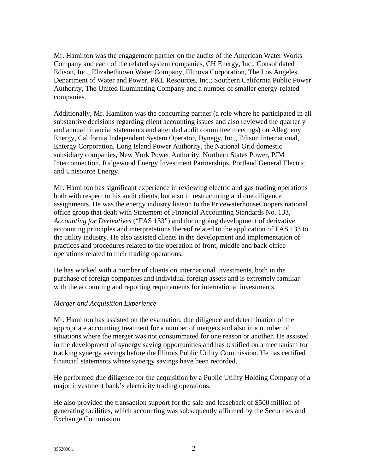Mr. Hamilton was the engagement partner on the audits of the American Water Works Company and each of the related system companies, CH Energy, Inc., Consolidated Edison, Inc., Elizabethtown Water Company, Illinova Corporation, The Los Angeles Department of Water and Power, P&L Resources, Inc.; Southern California Public Power Authority, The United Illuminating Company and a number of smaller energy-related companies.

Additionally, Mr. Hamilton was the concurring partner (a role where he participated in all substantive decisions regarding client accounting issues and also reviewed the quarterly and annual financial statements and attended audit committee meetings) on Allegheny Energy, California Independent System Operator, Dynegy, Inc., Edison International, Entergy Corporation, Long Island Power Authority, the National Grid domestic subsidiary companies, New York Power Authority, Northern States Power, PJM Interconnection, Ridgewood Energy Investment Partnerships, Portland General Electric and Unisource Energy.

Mr. Hamilton has significant experience in reviewing electric and gas trading operations both with respect to his audit clients, but also in restructuring and due diligence assignments. He was the energy industry liaison to the PricewaterhouseCoopers national office group that dealt with Statement of Financial Accounting Standards No. 133, *Accounting for Derivatives* ("FAS 133") and the ongoing development of derivative accounting principles and interpretations thereof related to the application of FAS 133 to the utility industry. He also assisted clients in the development and implementation of practices and procedures related to the operation of front, middle and back office operations related to their trading operations.

He has worked with a number of clients on international investments, both in the purchase of foreign companies and individual foreign assets and is extremely familiar with the accounting and reporting requirements for international investments.

## *Merger and Acquisition Experience*

Mr. Hamilton has assisted on the evaluation, due diligence and determination of the appropriate accounting treatment for a number of mergers and also in a number of situations where the merger was not consummated for one reason or another. He assisted in the development of synergy saving opportunities and has testified on a mechanism for tracking synergy savings before the Illinois Public Utility Commission. He has certified financial statements where synergy savings have been recorded.

He performed due diligence for the acquisition by a Public Utility Holding Company of a major investment bank's electricity trading operations.

He also provided the transaction support for the sale and leaseback of \$500 million of generating facilities, which accounting was subsequently affirmed by the Securities and Exchange Commission